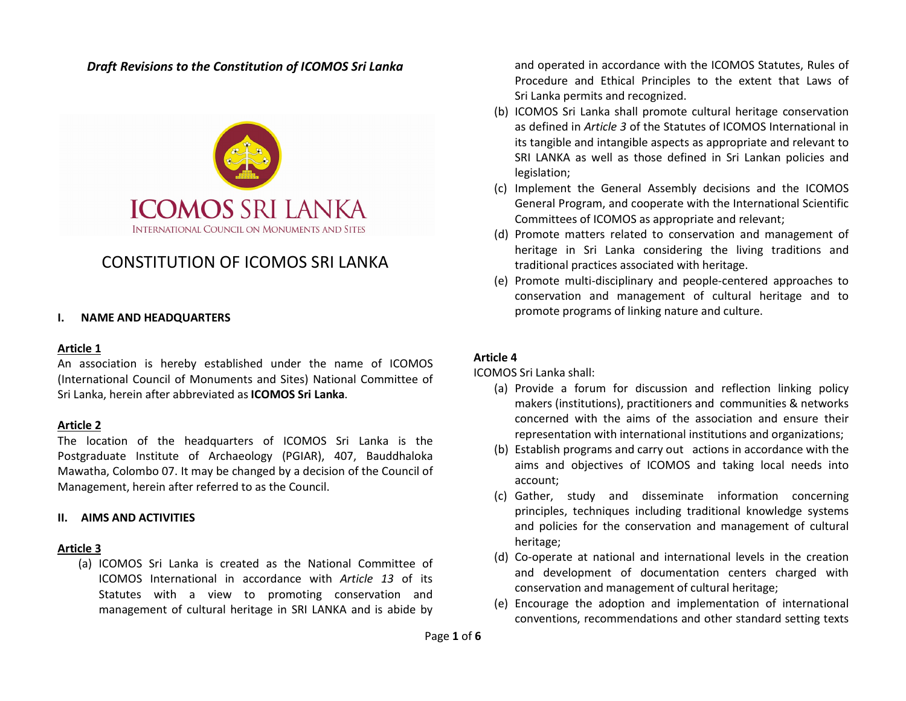### Draft Revisions to the Constitution of ICOMOS Sri Lanka



# CONSTITUTION OF ICOMOS SRI LANKA

#### I. NAME AND HEADQUARTERS

#### Article 1

An association is hereby established under the name of ICOMOS (International Council of Monuments and Sites) National Committee of Sri Lanka, herein after abbreviated as ICOMOS Sri Lanka.

#### Article 2

The location of the headquarters of ICOMOS Sri Lanka is the Postgraduate Institute of Archaeology (PGIAR), 407, Bauddhaloka Mawatha, Colombo 07. It may be changed by a decision of the Council of Management, herein after referred to as the Council.

#### II. AIMS AND ACTIVITIES

#### Article 3

(a) ICOMOS Sri Lanka is created as the National Committee of ICOMOS International in accordance with Article 13 of its Statutes with a view to promoting conservation and management of cultural heritage in SRI LANKA and is abide by

and operated in accordance with the ICOMOS Statutes, Rules of Procedure and Ethical Principles to the extent that Laws of Sri Lanka permits and recognized.

- (b) ICOMOS Sri Lanka shall promote cultural heritage conservation as defined in Article 3 of the Statutes of ICOMOS International in its tangible and intangible aspects as appropriate and relevant to SRI LANKA as well as those defined in Sri Lankan policies and legislation;
- (c) Implement the General Assembly decisions and the ICOMOS General Program, and cooperate with the International Scientific Committees of ICOMOS as appropriate and relevant;
- (d) Promote matters related to conservation and management of heritage in Sri Lanka considering the living traditions and traditional practices associated with heritage.
- (e) Promote multi-disciplinary and people-centered approaches to conservation and management of cultural heritage and to promote programs of linking nature and culture.

#### Article 4

ICOMOS Sri Lanka shall:

- (a) Provide a forum for discussion and reflection linking policy makers (institutions), practitioners and communities & networks concerned with the aims of the association and ensure their representation with international institutions and organizations;
- (b) Establish programs and carry out actions in accordance with the aims and objectives of ICOMOS and taking local needs into account;
- (c) Gather, study and disseminate information concerning principles, techniques including traditional knowledge systems and policies for the conservation and management of cultural heritage;
- (d) Co-operate at national and international levels in the creation and development of documentation centers charged with conservation and management of cultural heritage;
- (e) Encourage the adoption and implementation of international conventions, recommendations and other standard setting texts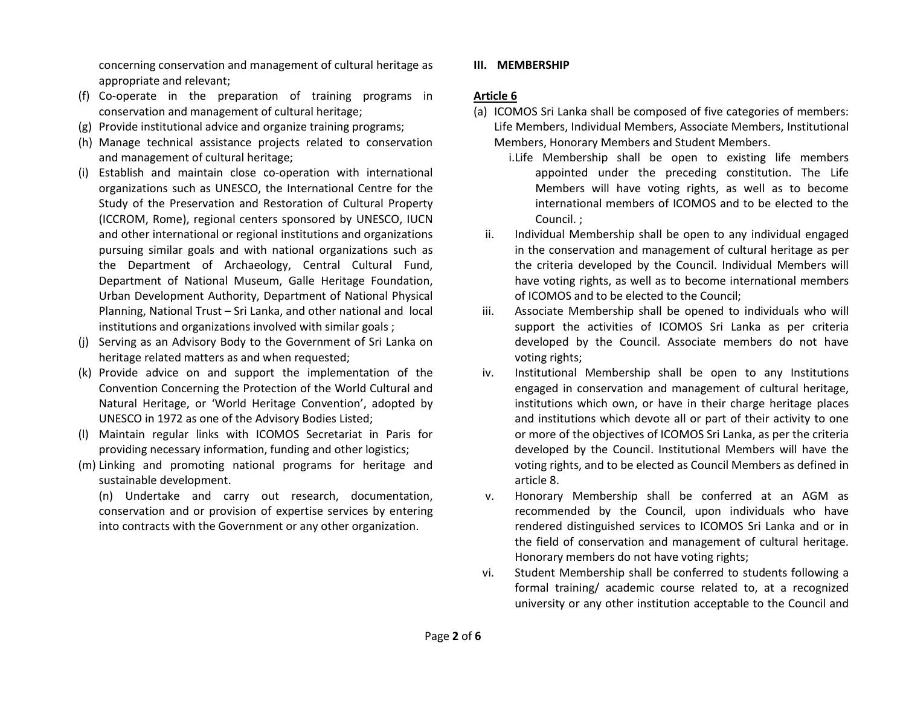concerning conservation and management of cultural heritage as appropriate and relevant;

- (f) Co-operate in the preparation of training programs in conservation and management of cultural heritage;
- (g) Provide institutional advice and organize training programs;
- (h) Manage technical assistance projects related to conservation and management of cultural heritage;
- (i) Establish and maintain close co-operation with international organizations such as UNESCO, the International Centre for the Study of the Preservation and Restoration of Cultural Property (ICCROM, Rome), regional centers sponsored by UNESCO, IUCN and other international or regional institutions and organizations pursuing similar goals and with national organizations such as the Department of Archaeology, Central Cultural Fund, Department of National Museum, Galle Heritage Foundation, Urban Development Authority, Department of National Physical Planning, National Trust – Sri Lanka, and other national and local institutions and organizations involved with similar goals ;
- (j) Serving as an Advisory Body to the Government of Sri Lanka on heritage related matters as and when requested;
- (k) Provide advice on and support the implementation of the Convention Concerning the Protection of the World Cultural and Natural Heritage, or 'World Heritage Convention', adopted by UNESCO in 1972 as one of the Advisory Bodies Listed;
- (l) Maintain regular links with ICOMOS Secretariat in Paris for providing necessary information, funding and other logistics;
- (m) Linking and promoting national programs for heritage and sustainable development.

(n) Undertake and carry out research, documentation, conservation and or provision of expertise services by entering into contracts with the Government or any other organization.

### III. MEMBERSHIP

### Article 6

- (a) ICOMOS Sri Lanka shall be composed of five categories of members: Life Members, Individual Members, Associate Members, Institutional Members, Honorary Members and Student Members.
	- i.Life Membership shall be open to existing life members appointed under the preceding constitution. The Life Members will have voting rights, as well as to become international members of ICOMOS and to be elected to the Council. ;
	- ii. Individual Membership shall be open to any individual engaged in the conservation and management of cultural heritage as per the criteria developed by the Council. Individual Members will have voting rights, as well as to become international members of ICOMOS and to be elected to the Council;
- iii. Associate Membership shall be opened to individuals who will support the activities of ICOMOS Sri Lanka as per criteria developed by the Council. Associate members do not have voting rights;
- iv. Institutional Membership shall be open to any Institutions engaged in conservation and management of cultural heritage, institutions which own, or have in their charge heritage places and institutions which devote all or part of their activity to one or more of the objectives of ICOMOS Sri Lanka, as per the criteria developed by the Council. Institutional Members will have the voting rights, and to be elected as Council Members as defined in article 8.
- v. Honorary Membership shall be conferred at an AGM as recommended by the Council, upon individuals who have rendered distinguished services to ICOMOS Sri Lanka and or in the field of conservation and management of cultural heritage. Honorary members do not have voting rights;
- vi. Student Membership shall be conferred to students following a formal training/ academic course related to, at a recognized university or any other institution acceptable to the Council and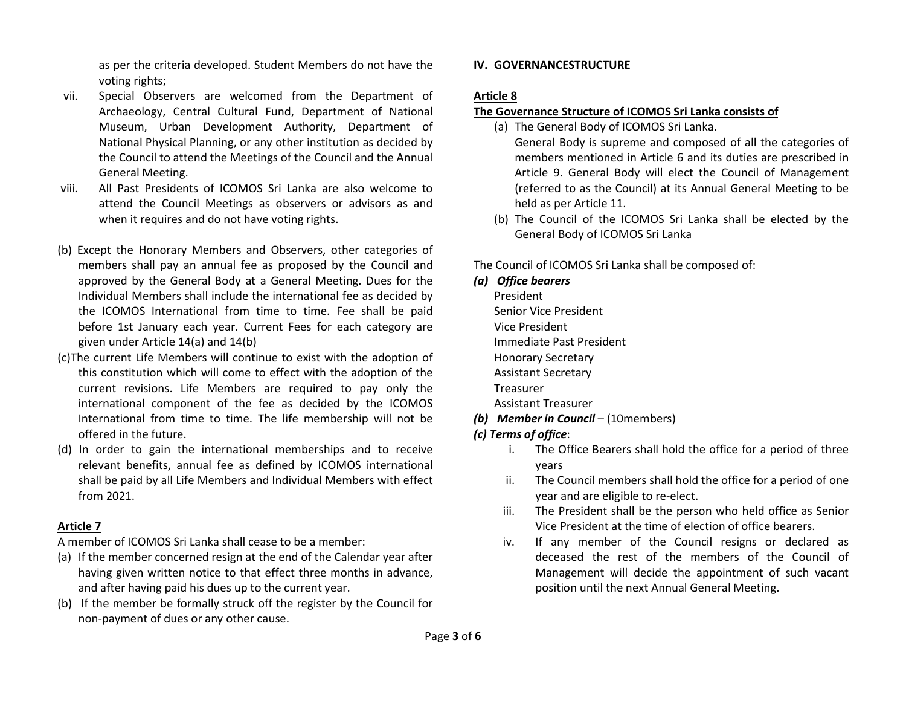as per the criteria developed. Student Members do not have the voting rights;

- vii. Special Observers are welcomed from the Department of Archaeology, Central Cultural Fund, Department of National Museum, Urban Development Authority, Department of National Physical Planning, or any other institution as decided by the Council to attend the Meetings of the Council and the Annual General Meeting.
- viii. All Past Presidents of ICOMOS Sri Lanka are also welcome to attend the Council Meetings as observers or advisors as and when it requires and do not have voting rights.
- (b) Except the Honorary Members and Observers, other categories of members shall pay an annual fee as proposed by the Council and approved by the General Body at a General Meeting. Dues for the Individual Members shall include the international fee as decided by the ICOMOS International from time to time. Fee shall be paid before 1st January each year. Current Fees for each category are given under Article 14(a) and 14(b)
- (c)The current Life Members will continue to exist with the adoption of this constitution which will come to effect with the adoption of the current revisions. Life Members are required to pay only the international component of the fee as decided by the ICOMOS International from time to time. The life membership will not be offered in the future.
- (d) In order to gain the international memberships and to receive relevant benefits, annual fee as defined by ICOMOS international shall be paid by all Life Members and Individual Members with effect from 2021.

## Article 7

A member of ICOMOS Sri Lanka shall cease to be a member:

- (a) If the member concerned resign at the end of the Calendar year after having given written notice to that effect three months in advance, and after having paid his dues up to the current year.
- (b) If the member be formally struck off the register by the Council for non-payment of dues or any other cause.

## IV. GOVERNANCESTRUCTURE

## Article 8

## The Governance Structure of ICOMOS Sri Lanka consists of

- (a) The General Body of ICOMOS Sri Lanka. General Body is supreme and composed of all the categories of members mentioned in Article 6 and its duties are prescribed in Article 9. General Body will elect the Council of Management (referred to as the Council) at its Annual General Meeting to be held as per Article 11.
- (b) The Council of the ICOMOS Sri Lanka shall be elected by the General Body of ICOMOS Sri Lanka

The Council of ICOMOS Sri Lanka shall be composed of:

# (a) Office bearers

President Senior Vice President Vice President Immediate Past President Honorary Secretary Assistant Secretary Treasurer

Assistant Treasurer

(b) Member in Council – (10 members)

# (c) Terms of office:

- i. The Office Bearers shall hold the office for a period of three years
- ii. The Council members shall hold the office for a period of one year and are eligible to re-elect.
- iii. The President shall be the person who held office as Senior Vice President at the time of election of office bearers.
- iv. If any member of the Council resigns or declared as deceased the rest of the members of the Council of Management will decide the appointment of such vacant position until the next Annual General Meeting.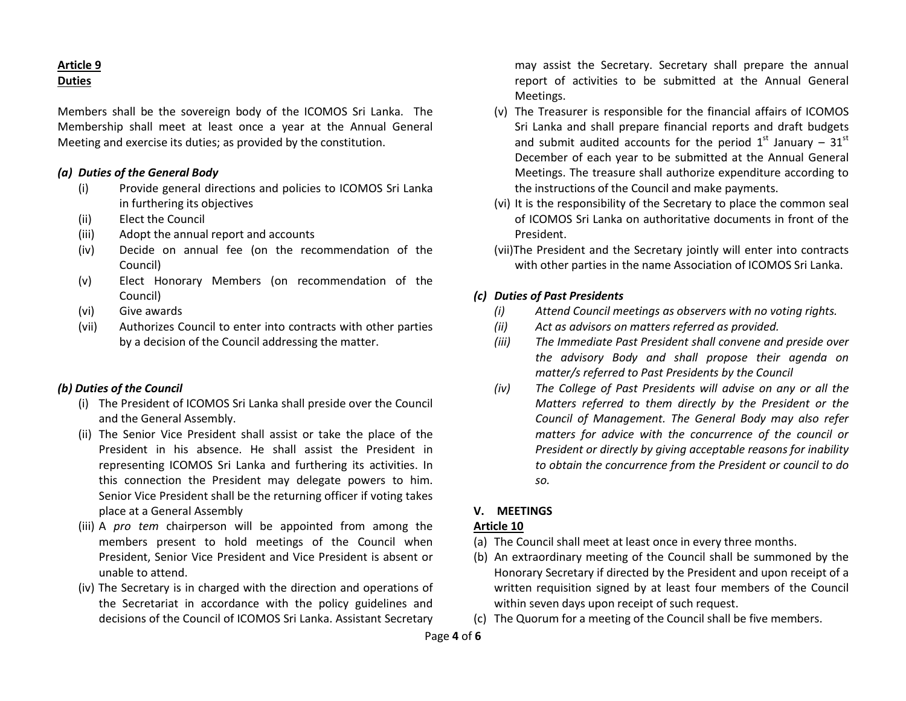## Article 9 **Duties**

Members shall be the sovereign body of the ICOMOS Sri Lanka. The Membership shall meet at least once a year at the Annual General Meeting and exercise its duties; as provided by the constitution.

### (a) Duties of the General Body

- (i) Provide general directions and policies to ICOMOS Sri Lanka in furthering its objectives
- (ii) Elect the Council
- (iii) Adopt the annual report and accounts
- (iv) Decide on annual fee (on the recommendation of the Council)
- (v) Elect Honorary Members (on recommendation of the Council)
- (vi) Give awards
- (vii) Authorizes Council to enter into contracts with other parties by a decision of the Council addressing the matter.

## (b) Duties of the Council

- (i) The President of ICOMOS Sri Lanka shall preside over the Council and the General Assembly.
- (ii) The Senior Vice President shall assist or take the place of the President in his absence. He shall assist the President in representing ICOMOS Sri Lanka and furthering its activities. In this connection the President may delegate powers to him. Senior Vice President shall be the returning officer if voting takes place at a General Assembly
- (iii) A pro tem chairperson will be appointed from among the members present to hold meetings of the Council when President, Senior Vice President and Vice President is absent or unable to attend.
- (iv) The Secretary is in charged with the direction and operations of the Secretariat in accordance with the policy guidelines and decisions of the Council of ICOMOS Sri Lanka. Assistant Secretary

may assist the Secretary. Secretary shall prepare the annual report of activities to be submitted at the Annual General Meetings.

- (v) The Treasurer is responsible for the financial affairs of ICOMOS Sri Lanka and shall prepare financial reports and draft budgets and submit audited accounts for the period  $1<sup>st</sup>$  January –  $31<sup>st</sup>$ December of each year to be submitted at the Annual General Meetings. The treasure shall authorize expenditure according to the instructions of the Council and make payments.
- (vi) It is the responsibility of the Secretary to place the common seal of ICOMOS Sri Lanka on authoritative documents in front of the President.
- (vii)The President and the Secretary jointly will enter into contracts with other parties in the name Association of ICOMOS Sri Lanka.

# (c) Duties of Past Presidents

- (i) Attend Council meetings as observers with no voting rights.
- (ii) Act as advisors on matters referred as provided.
- (iii) The Immediate Past President shall convene and preside over the advisory Body and shall propose their agenda on matter/s referred to Past Presidents by the Council
- (iv) The College of Past Presidents will advise on any or all the Matters referred to them directly by the President or the Council of Management. The General Body may also refer matters for advice with the concurrence of the council or President or directly by giving acceptable reasons for inability to obtain the concurrence from the President or council to do so.

## V. MEETINGS

# Article 10

- (a) The Council shall meet at least once in every three months.
- (b) An extraordinary meeting of the Council shall be summoned by the Honorary Secretary if directed by the President and upon receipt of a written requisition signed by at least four members of the Council within seven days upon receipt of such request.
- (c) The Quorum for a meeting of the Council shall be five members.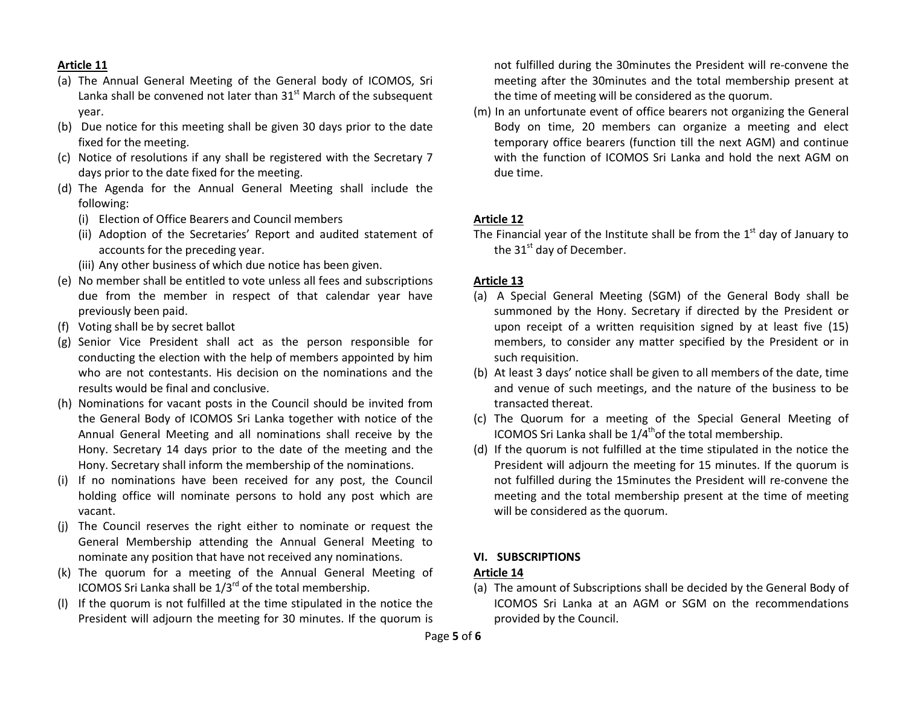### Article 11

- (a) The Annual General Meeting of the General body of ICOMOS, Sri Lanka shall be convened not later than  $31<sup>st</sup>$  March of the subsequent year.
- (b) Due notice for this meeting shall be given 30 days prior to the date fixed for the meeting.
- (c) Notice of resolutions if any shall be registered with the Secretary 7 days prior to the date fixed for the meeting.
- (d) The Agenda for the Annual General Meeting shall include the following:
	- (i) Election of Office Bearers and Council members
	- (ii) Adoption of the Secretaries' Report and audited statement of accounts for the preceding year.
	- (iii) Any other business of which due notice has been given.
- (e) No member shall be entitled to vote unless all fees and subscriptions due from the member in respect of that calendar year have previously been paid.
- (f) Voting shall be by secret ballot
- (g) Senior Vice President shall act as the person responsible for conducting the election with the help of members appointed by him who are not contestants. His decision on the nominations and the results would be final and conclusive.
- (h) Nominations for vacant posts in the Council should be invited from the General Body of ICOMOS Sri Lanka together with notice of the Annual General Meeting and all nominations shall receive by the Hony. Secretary 14 days prior to the date of the meeting and the Hony. Secretary shall inform the membership of the nominations.
- (i) If no nominations have been received for any post, the Council holding office will nominate persons to hold any post which are vacant.
- (j) The Council reserves the right either to nominate or request the General Membership attending the Annual General Meeting to nominate any position that have not received any nominations.
- (k) The quorum for a meeting of the Annual General Meeting of ICOMOS Sri Lanka shall be  $1/3^{rd}$  of the total membership.
- (l) If the quorum is not fulfilled at the time stipulated in the notice the President will adjourn the meeting for 30 minutes. If the quorum is

not fulfilled during the 30minutes the President will re-convene the meeting after the 30minutes and the total membership present at the time of meeting will be considered as the quorum.

(m) In an unfortunate event of office bearers not organizing the General Body on time, 20 members can organize a meeting and elect temporary office bearers (function till the next AGM) and continue with the function of ICOMOS Sri Lanka and hold the next AGM on due time.

### Article 12

The Financial year of the Institute shall be from the  $1<sup>st</sup>$  day of January to the  $31<sup>st</sup>$  day of December.

### Article 13

- (a) A Special General Meeting (SGM) of the General Body shall be summoned by the Hony. Secretary if directed by the President or upon receipt of a written requisition signed by at least five (15) members, to consider any matter specified by the President or in such requisition.
- (b) At least 3 days' notice shall be given to all members of the date, time and venue of such meetings, and the nature of the business to be transacted thereat.
- (c) The Quorum for a meeting of the Special General Meeting of ICOMOS Sri Lanka shall be  $1/4^{th}$ of the total membership.
- (d) If the quorum is not fulfilled at the time stipulated in the notice the President will adjourn the meeting for 15 minutes. If the quorum is not fulfilled during the 15minutes the President will re-convene the meeting and the total membership present at the time of meeting will be considered as the quorum.

# VI. SUBSCRIPTIONS

## Article 14

(a) The amount of Subscriptions shall be decided by the General Body of ICOMOS Sri Lanka at an AGM or SGM on the recommendations provided by the Council.